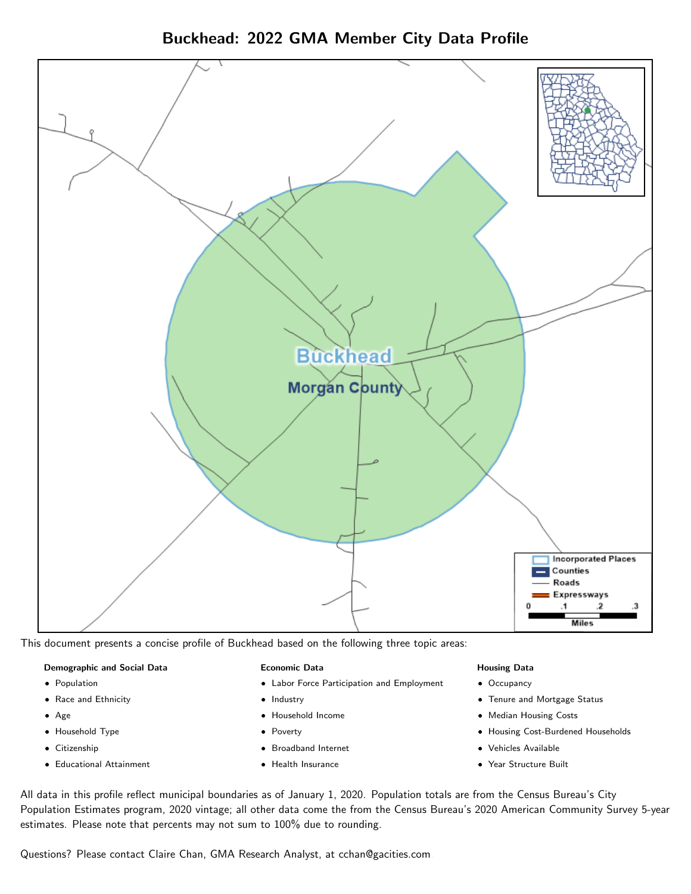Buckhead: 2022 GMA Member City Data Profile



This document presents a concise profile of Buckhead based on the following three topic areas:

## Demographic and Social Data

- **•** Population
- Race and Ethnicity
- Age
- Household Type
- **Citizenship**
- Educational Attainment

#### Economic Data

- Labor Force Participation and Employment
- Industry
- Household Income
- Poverty
- Broadband Internet
- Health Insurance

## Housing Data

- Occupancy
- Tenure and Mortgage Status
- Median Housing Costs
- Housing Cost-Burdened Households
- Vehicles Available
- Year Structure Built

All data in this profile reflect municipal boundaries as of January 1, 2020. Population totals are from the Census Bureau's City Population Estimates program, 2020 vintage; all other data come the from the Census Bureau's 2020 American Community Survey 5-year estimates. Please note that percents may not sum to 100% due to rounding.

Questions? Please contact Claire Chan, GMA Research Analyst, at [cchan@gacities.com.](mailto:cchan@gacities.com)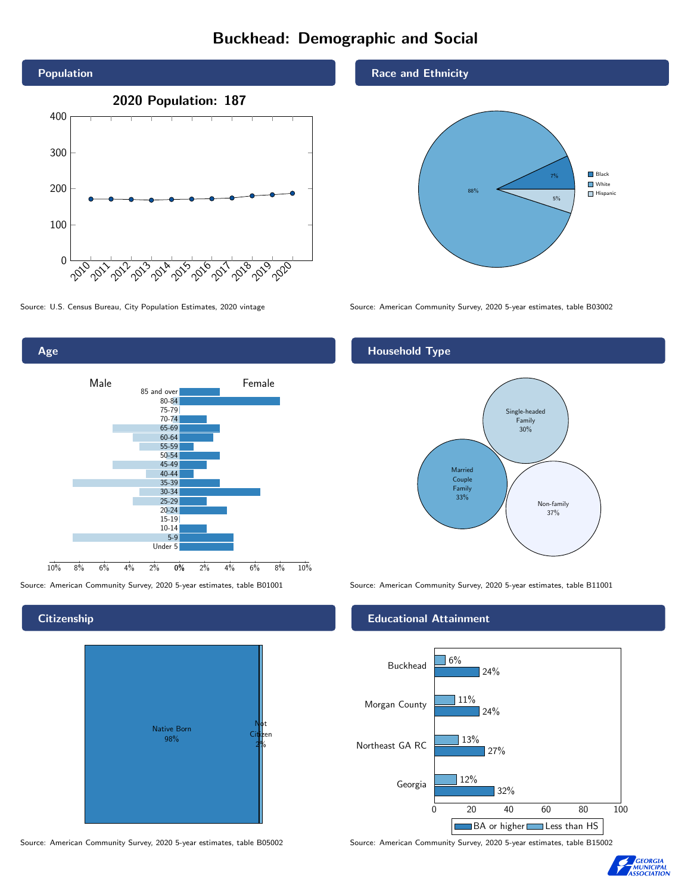# Buckhead: Demographic and Social





## **Citizenship**

Age



Source: American Community Survey, 2020 5-year estimates, table B05002 Source: American Community Survey, 2020 5-year estimates, table B15002

#### Race and Ethnicity



Source: U.S. Census Bureau, City Population Estimates, 2020 vintage Source: American Community Survey, 2020 5-year estimates, table B03002

# Household Type



Source: American Community Survey, 2020 5-year estimates, table B01001 Source: American Community Survey, 2020 5-year estimates, table B11001

## Educational Attainment



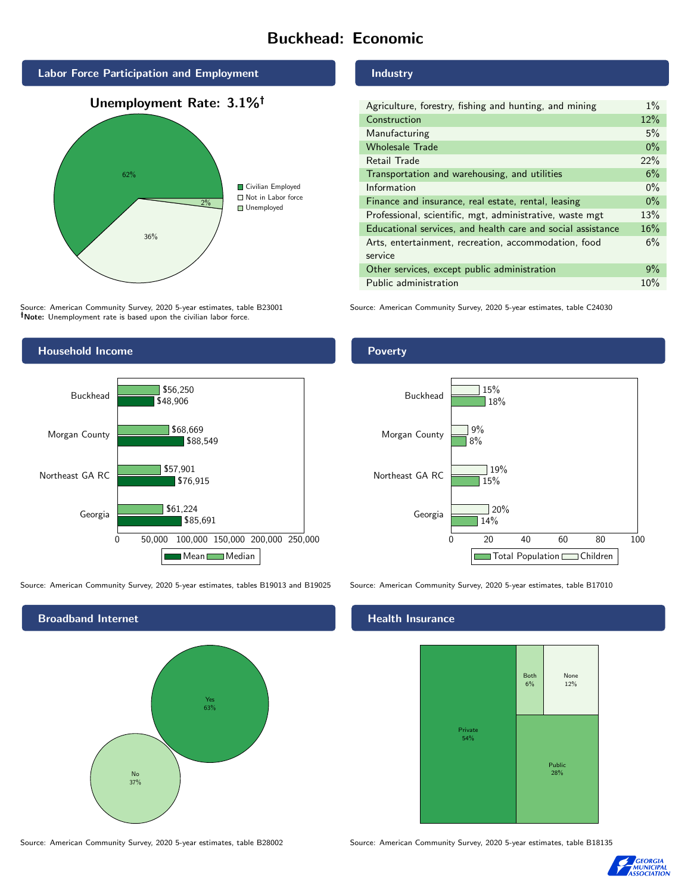# Buckhead: Economic



Source: American Community Survey, 2020 5-year estimates, table B23001 Note: Unemployment rate is based upon the civilian labor force.



Source: American Community Survey, 2020 5-year estimates, tables B19013 and B19025 Source: American Community Survey, 2020 5-year estimates, table B17010



Industry

| Agriculture, forestry, fishing and hunting, and mining      | $1\%$ |
|-------------------------------------------------------------|-------|
| Construction                                                | 12%   |
| Manufacturing                                               | 5%    |
| <b>Wholesale Trade</b>                                      | $0\%$ |
| Retail Trade                                                | 22%   |
| Transportation and warehousing, and utilities               | 6%    |
| Information                                                 | $0\%$ |
| Finance and insurance, real estate, rental, leasing         | $0\%$ |
| Professional, scientific, mgt, administrative, waste mgt    | 13%   |
| Educational services, and health care and social assistance | 16%   |
| Arts, entertainment, recreation, accommodation, food        | 6%    |
| service                                                     |       |
| Other services, except public administration                | 9%    |
| Public administration                                       | 10%   |

Source: American Community Survey, 2020 5-year estimates, table C24030

Poverty



# **Health Insurance**



Source: American Community Survey, 2020 5-year estimates, table B28002 Source: American Community Survey, 2020 5-year estimates, table B18135